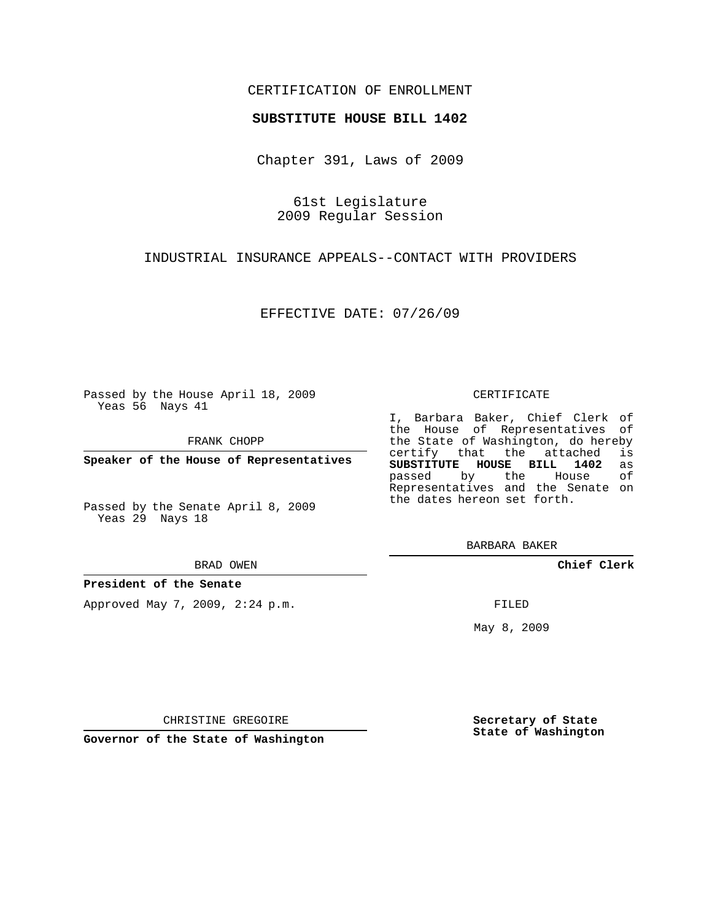## CERTIFICATION OF ENROLLMENT

## **SUBSTITUTE HOUSE BILL 1402**

Chapter 391, Laws of 2009

61st Legislature 2009 Regular Session

INDUSTRIAL INSURANCE APPEALS--CONTACT WITH PROVIDERS

EFFECTIVE DATE: 07/26/09

Passed by the House April 18, 2009 Yeas 56 Nays 41

FRANK CHOPP

**Speaker of the House of Representatives**

Passed by the Senate April 8, 2009 Yeas 29 Nays 18

BRAD OWEN

**President of the Senate**

Approved May 7, 2009, 2:24 p.m.

## CERTIFICATE

I, Barbara Baker, Chief Clerk of the House of Representatives of the State of Washington, do hereby<br>certify that the attached is certify that the attached **SUBSTITUTE HOUSE BILL 1402** as passed by the Representatives and the Senate on the dates hereon set forth.

BARBARA BAKER

**Chief Clerk**

FILED

May 8, 2009

**Secretary of State State of Washington**

CHRISTINE GREGOIRE

**Governor of the State of Washington**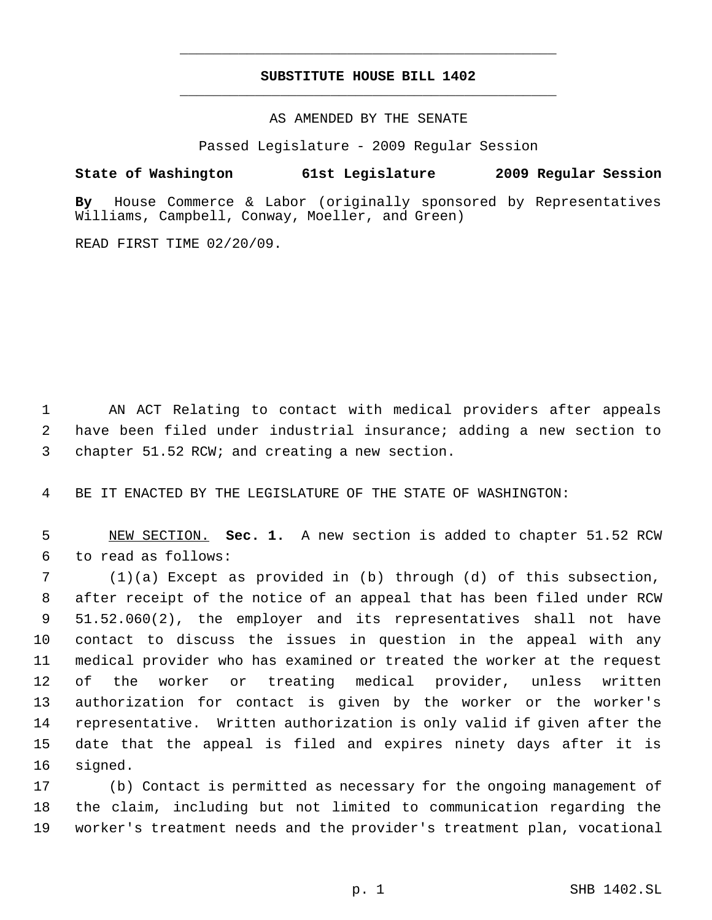## **SUBSTITUTE HOUSE BILL 1402** \_\_\_\_\_\_\_\_\_\_\_\_\_\_\_\_\_\_\_\_\_\_\_\_\_\_\_\_\_\_\_\_\_\_\_\_\_\_\_\_\_\_\_\_\_

\_\_\_\_\_\_\_\_\_\_\_\_\_\_\_\_\_\_\_\_\_\_\_\_\_\_\_\_\_\_\_\_\_\_\_\_\_\_\_\_\_\_\_\_\_

AS AMENDED BY THE SENATE

Passed Legislature - 2009 Regular Session

**State of Washington 61st Legislature 2009 Regular Session**

**By** House Commerce & Labor (originally sponsored by Representatives Williams, Campbell, Conway, Moeller, and Green)

READ FIRST TIME 02/20/09.

 AN ACT Relating to contact with medical providers after appeals have been filed under industrial insurance; adding a new section to chapter 51.52 RCW; and creating a new section.

BE IT ENACTED BY THE LEGISLATURE OF THE STATE OF WASHINGTON:

 NEW SECTION. **Sec. 1.** A new section is added to chapter 51.52 RCW to read as follows:

 (1)(a) Except as provided in (b) through (d) of this subsection, after receipt of the notice of an appeal that has been filed under RCW 51.52.060(2), the employer and its representatives shall not have contact to discuss the issues in question in the appeal with any medical provider who has examined or treated the worker at the request of the worker or treating medical provider, unless written authorization for contact is given by the worker or the worker's representative. Written authorization is only valid if given after the date that the appeal is filed and expires ninety days after it is signed.

 (b) Contact is permitted as necessary for the ongoing management of the claim, including but not limited to communication regarding the worker's treatment needs and the provider's treatment plan, vocational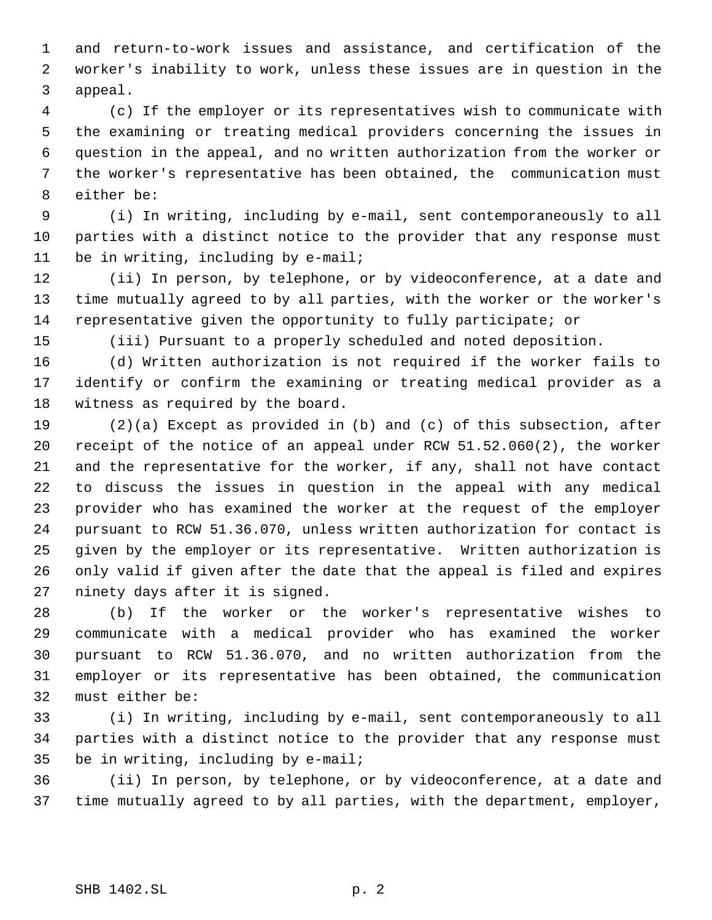and return-to-work issues and assistance, and certification of the worker's inability to work, unless these issues are in question in the appeal.

 (c) If the employer or its representatives wish to communicate with the examining or treating medical providers concerning the issues in question in the appeal, and no written authorization from the worker or the worker's representative has been obtained, the communication must either be:

 (i) In writing, including by e-mail, sent contemporaneously to all parties with a distinct notice to the provider that any response must 11 be in writing, including by e-mail;

 (ii) In person, by telephone, or by videoconference, at a date and time mutually agreed to by all parties, with the worker or the worker's representative given the opportunity to fully participate; or

(iii) Pursuant to a properly scheduled and noted deposition.

 (d) Written authorization is not required if the worker fails to identify or confirm the examining or treating medical provider as a witness as required by the board.

 (2)(a) Except as provided in (b) and (c) of this subsection, after receipt of the notice of an appeal under RCW 51.52.060(2), the worker and the representative for the worker, if any, shall not have contact to discuss the issues in question in the appeal with any medical provider who has examined the worker at the request of the employer pursuant to RCW 51.36.070, unless written authorization for contact is given by the employer or its representative. Written authorization is only valid if given after the date that the appeal is filed and expires ninety days after it is signed.

 (b) If the worker or the worker's representative wishes to communicate with a medical provider who has examined the worker pursuant to RCW 51.36.070, and no written authorization from the employer or its representative has been obtained, the communication must either be:

 (i) In writing, including by e-mail, sent contemporaneously to all parties with a distinct notice to the provider that any response must be in writing, including by e-mail;

 (ii) In person, by telephone, or by videoconference, at a date and time mutually agreed to by all parties, with the department, employer,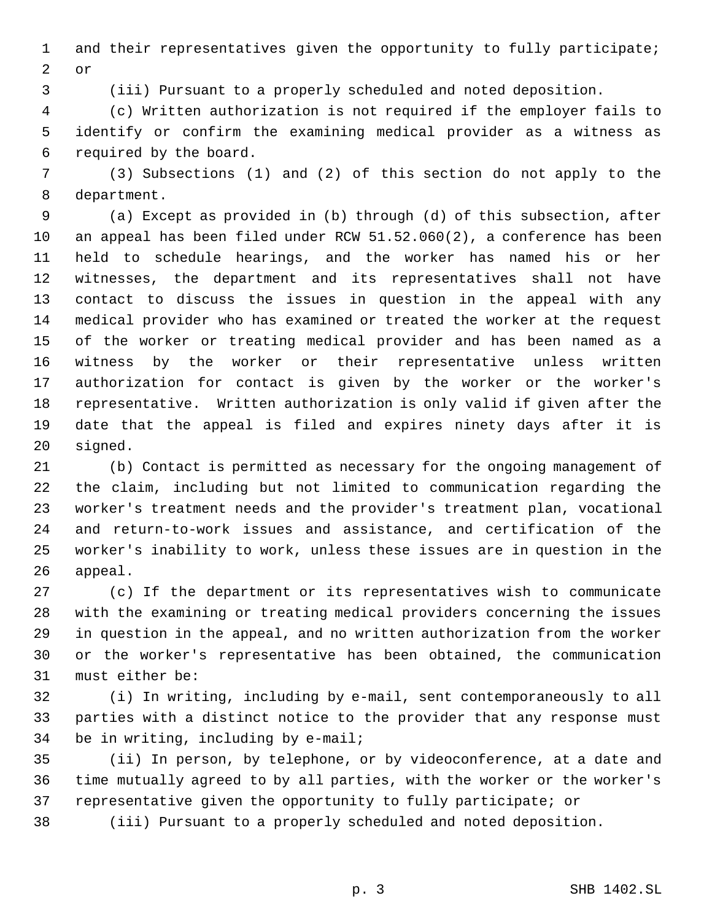and their representatives given the opportunity to fully participate; or

(iii) Pursuant to a properly scheduled and noted deposition.

 (c) Written authorization is not required if the employer fails to identify or confirm the examining medical provider as a witness as required by the board.

 (3) Subsections (1) and (2) of this section do not apply to the department.

 (a) Except as provided in (b) through (d) of this subsection, after an appeal has been filed under RCW 51.52.060(2), a conference has been held to schedule hearings, and the worker has named his or her witnesses, the department and its representatives shall not have contact to discuss the issues in question in the appeal with any medical provider who has examined or treated the worker at the request of the worker or treating medical provider and has been named as a witness by the worker or their representative unless written authorization for contact is given by the worker or the worker's representative. Written authorization is only valid if given after the date that the appeal is filed and expires ninety days after it is signed.

 (b) Contact is permitted as necessary for the ongoing management of the claim, including but not limited to communication regarding the worker's treatment needs and the provider's treatment plan, vocational and return-to-work issues and assistance, and certification of the worker's inability to work, unless these issues are in question in the appeal.

 (c) If the department or its representatives wish to communicate with the examining or treating medical providers concerning the issues in question in the appeal, and no written authorization from the worker or the worker's representative has been obtained, the communication must either be:

 (i) In writing, including by e-mail, sent contemporaneously to all parties with a distinct notice to the provider that any response must be in writing, including by e-mail;

 (ii) In person, by telephone, or by videoconference, at a date and time mutually agreed to by all parties, with the worker or the worker's representative given the opportunity to fully participate; or

(iii) Pursuant to a properly scheduled and noted deposition.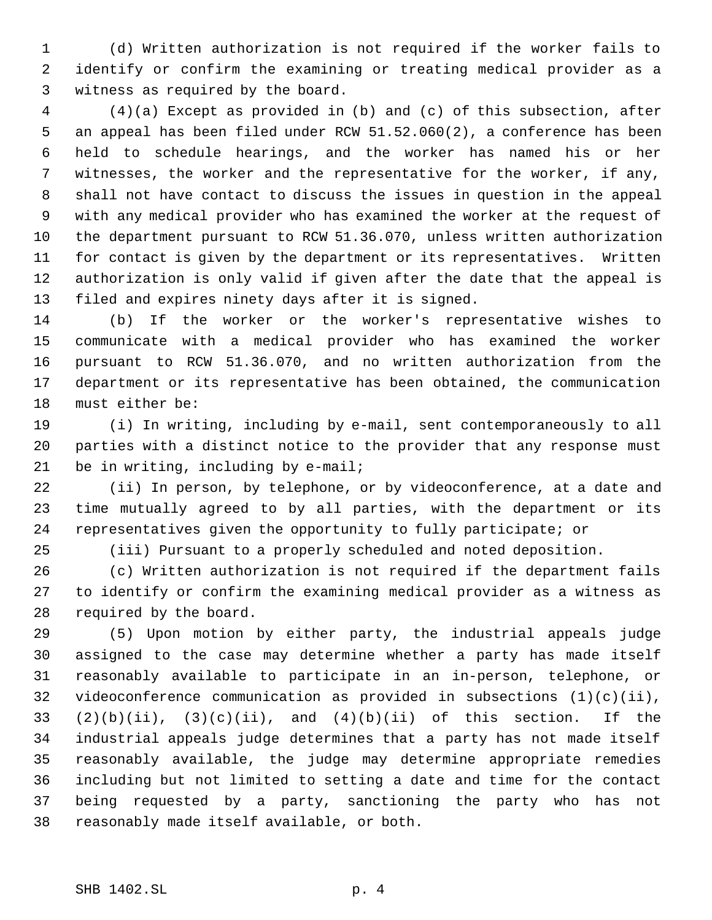(d) Written authorization is not required if the worker fails to identify or confirm the examining or treating medical provider as a witness as required by the board.

 (4)(a) Except as provided in (b) and (c) of this subsection, after an appeal has been filed under RCW 51.52.060(2), a conference has been held to schedule hearings, and the worker has named his or her witnesses, the worker and the representative for the worker, if any, shall not have contact to discuss the issues in question in the appeal with any medical provider who has examined the worker at the request of the department pursuant to RCW 51.36.070, unless written authorization for contact is given by the department or its representatives. Written authorization is only valid if given after the date that the appeal is filed and expires ninety days after it is signed.

 (b) If the worker or the worker's representative wishes to communicate with a medical provider who has examined the worker pursuant to RCW 51.36.070, and no written authorization from the department or its representative has been obtained, the communication must either be:

 (i) In writing, including by e-mail, sent contemporaneously to all parties with a distinct notice to the provider that any response must be in writing, including by e-mail;

 (ii) In person, by telephone, or by videoconference, at a date and time mutually agreed to by all parties, with the department or its representatives given the opportunity to fully participate; or

(iii) Pursuant to a properly scheduled and noted deposition.

 (c) Written authorization is not required if the department fails to identify or confirm the examining medical provider as a witness as required by the board.

 (5) Upon motion by either party, the industrial appeals judge assigned to the case may determine whether a party has made itself reasonably available to participate in an in-person, telephone, or videoconference communication as provided in subsections (1)(c)(ii),  $(2)(b)(ii)$ ,  $(3)(c)(ii)$ , and  $(4)(b)(ii)$  of this section. If the industrial appeals judge determines that a party has not made itself reasonably available, the judge may determine appropriate remedies including but not limited to setting a date and time for the contact being requested by a party, sanctioning the party who has not reasonably made itself available, or both.